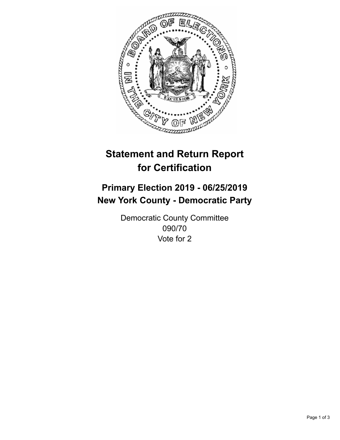

## **Statement and Return Report for Certification**

## **Primary Election 2019 - 06/25/2019 New York County - Democratic Party**

Democratic County Committee 090/70 Vote for 2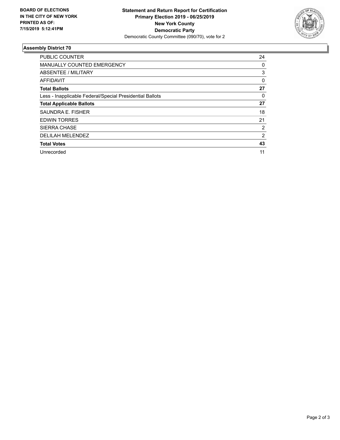

## **Assembly District 70**

| <b>PUBLIC COUNTER</b>                                    | 24             |
|----------------------------------------------------------|----------------|
| <b>MANUALLY COUNTED EMERGENCY</b>                        | 0              |
| ABSENTEE / MILITARY                                      | 3              |
| AFFIDAVIT                                                | $\Omega$       |
| <b>Total Ballots</b>                                     | 27             |
| Less - Inapplicable Federal/Special Presidential Ballots | 0              |
| <b>Total Applicable Ballots</b>                          | 27             |
| SAUNDRA E. FISHER                                        | 18             |
| <b>EDWIN TORRES</b>                                      | 21             |
| <b>SIERRA CHASE</b>                                      | 2              |
| <b>DELILAH MELENDEZ</b>                                  | $\overline{2}$ |
| <b>Total Votes</b>                                       | 43             |
| Unrecorded                                               | 11             |